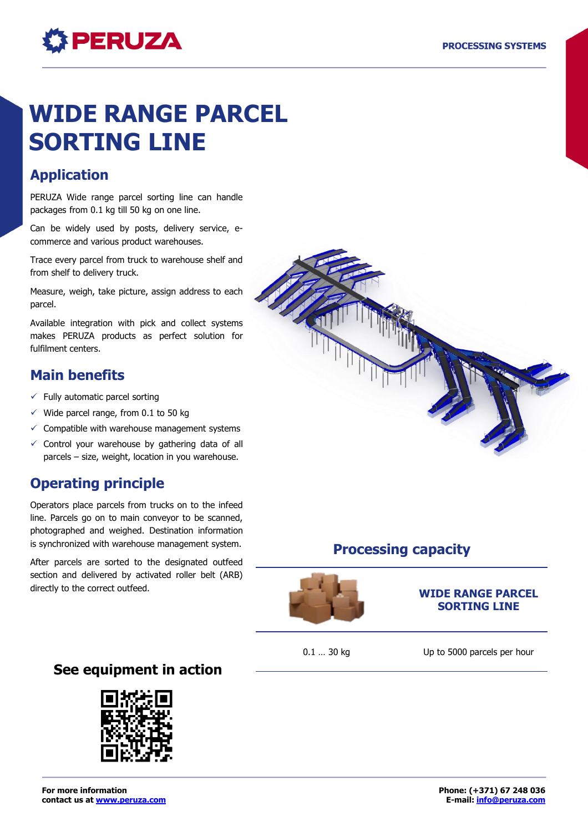# **PERUZA**

# **WIDE RANGE PARCEL SORTING LINE**

# **Application**

PERUZA Wide range parcel sorting line can handle packages from 0.1 kg till 50 kg on one line.

Can be widely used by posts, delivery service, ecommerce and various product warehouses.

Trace every parcel from truck to warehouse shelf and from shelf to delivery truck.

Measure, weigh, take picture, assign address to each parcel.

Available integration with pick and collect systems makes PERUZA products as perfect solution for fulfilment centers.

# **Main benefits**

- $\checkmark$  Fully automatic parcel sorting
- $\checkmark$  Wide parcel range, from 0.1 to 50 kg
- $\checkmark$  Compatible with warehouse management systems
- $\checkmark$  Control your warehouse by gathering data of all parcels – size, weight, location in you warehouse.

# **Operating principle**

Operators place parcels from trucks on to the infeed line. Parcels go on to main conveyor to be scanned, photographed and weighed. Destination information is synchronized with warehouse management system.

After parcels are sorted to the designated outfeed section and delivered by activated roller belt (ARB) directly to the correct outfeed.

**Processing capacity**

#### **WIDE RANGE PARCEL SORTING LINE**

0.1 ... 30 kg Up to 5000 parcels per hour

## **See equipment in action**